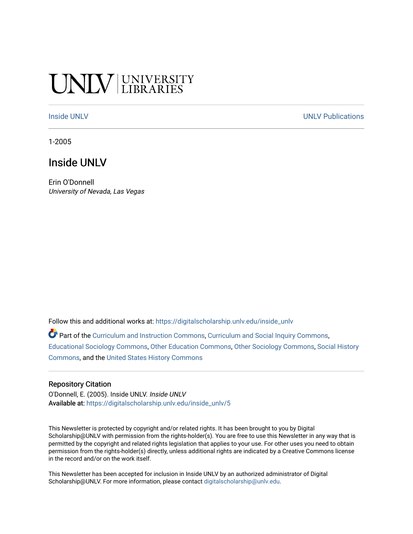# **CINITY UNIVERSITY**

[Inside UNLV](https://digitalscholarship.unlv.edu/inside_unlv) Number of the [UNLV Publications](https://digitalscholarship.unlv.edu/unlv_publications) of the UNLV Publications of the UNLV Publications

1-2005

## Inside UNLV

Erin O'Donnell University of Nevada, Las Vegas

Follow this and additional works at: [https://digitalscholarship.unlv.edu/inside\\_unlv](https://digitalscholarship.unlv.edu/inside_unlv?utm_source=digitalscholarship.unlv.edu%2Finside_unlv%2F5&utm_medium=PDF&utm_campaign=PDFCoverPages) 

Part of the [Curriculum and Instruction Commons,](http://network.bepress.com/hgg/discipline/786?utm_source=digitalscholarship.unlv.edu%2Finside_unlv%2F5&utm_medium=PDF&utm_campaign=PDFCoverPages) [Curriculum and Social Inquiry Commons,](http://network.bepress.com/hgg/discipline/1038?utm_source=digitalscholarship.unlv.edu%2Finside_unlv%2F5&utm_medium=PDF&utm_campaign=PDFCoverPages) [Educational Sociology Commons,](http://network.bepress.com/hgg/discipline/1071?utm_source=digitalscholarship.unlv.edu%2Finside_unlv%2F5&utm_medium=PDF&utm_campaign=PDFCoverPages) [Other Education Commons,](http://network.bepress.com/hgg/discipline/811?utm_source=digitalscholarship.unlv.edu%2Finside_unlv%2F5&utm_medium=PDF&utm_campaign=PDFCoverPages) [Other Sociology Commons](http://network.bepress.com/hgg/discipline/434?utm_source=digitalscholarship.unlv.edu%2Finside_unlv%2F5&utm_medium=PDF&utm_campaign=PDFCoverPages), [Social History](http://network.bepress.com/hgg/discipline/506?utm_source=digitalscholarship.unlv.edu%2Finside_unlv%2F5&utm_medium=PDF&utm_campaign=PDFCoverPages) [Commons](http://network.bepress.com/hgg/discipline/506?utm_source=digitalscholarship.unlv.edu%2Finside_unlv%2F5&utm_medium=PDF&utm_campaign=PDFCoverPages), and the [United States History Commons](http://network.bepress.com/hgg/discipline/495?utm_source=digitalscholarship.unlv.edu%2Finside_unlv%2F5&utm_medium=PDF&utm_campaign=PDFCoverPages) 

#### Repository Citation

O'Donnell, E. (2005). Inside UNLV. Inside UNLV Available at: [https://digitalscholarship.unlv.edu/inside\\_unlv/5](https://digitalscholarship.unlv.edu/inside_unlv/5) 

This Newsletter is protected by copyright and/or related rights. It has been brought to you by Digital Scholarship@UNLV with permission from the rights-holder(s). You are free to use this Newsletter in any way that is permitted by the copyright and related rights legislation that applies to your use. For other uses you need to obtain permission from the rights-holder(s) directly, unless additional rights are indicated by a Creative Commons license in the record and/or on the work itself.

This Newsletter has been accepted for inclusion in Inside UNLV by an authorized administrator of Digital Scholarship@UNLV. For more information, please contact [digitalscholarship@unlv.edu.](mailto:digitalscholarship@unlv.edu)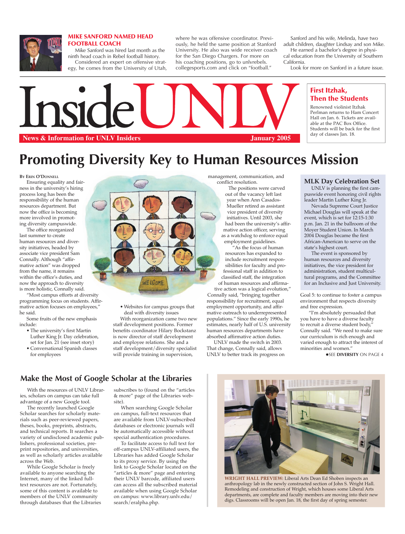

#### MIKE SANFORD NAMED HEAD FOOTBALL COACH

Mike Sanford was hired last month as the ninth head coach in Rebel football history. Considered an expert on offensive strategy, he comes from the University of Utah, where he was offensive coordinator. Previously, he held the same position at Stanford University. He also was wide receiver coach for the San Diego Chargers. For more on his coaching positions, go to unlvrebels. collegesports.com and click on "football."

Sanford and his wife, Melinda, have two adult children, daughter Lindsay and son Mike.

He earned a bachelor's degree in physical education from the University of Southern California.

Look for more on Sanford in a future issue.

## First Itzhak, Then the Students

Renowned violinist Itzhak Perlman returns to Ham Concert Hall on Jan. 6. Tickets are available at the PAC Box Office. Students will be back for the first day of classes Jan. 18.



Inside

# **Promoting Diversity Key to Human Resources Mission**

**BY ERIN O'DONNELL**

Ensuring equality and fairness in the university's hiring process long has been the responsibility of the human resources department. But now the office is becoming more involved in promoting diversity campuswide.

The office reorganized last summer to create human resources and diversity initiatives, headed by associate vice president Sam Connally. Although "affirmative action" was dropped from the name, it remains within the office's duties, and now the approach to diversity is more holistic, Connally said.

"Most campus efforts at diversity programming focus on students. Affirmative action focuses on employees," he said.

Some fruits of the new emphasis include:

- The university's first Martin Luther King Jr. Day celebration,
- set for Jan. 21 (see inset story) • Conversational Spanish classes for employees



• Websites for campus groups that deal with diversity issues With reorganization came two new staff development positions. Former

benefits coordinator Hilary Bockstanz is now director of staff development and employee relations. She and a staff development/diversity specialist will provide training in supervision,

management, communication, and conflict resolution.

The positions were carved out of the vacancy left last year when Ann Casados-Mueller retired as assistant vice president of diversity initiatives. Until 2003, she had been the university's affirmative action officer, serving as a watchdog to enforce equal employment guidelines.

"As the focus of human resources has expanded to include recruitment responsibilities for faculty and professional staff in addition to classified staff, the integration of human resources and affirmative action was a logical evolution,"

Connally said, "bringing together responsibility for recruitment, equal employment opportunity, and affirmative outreach to underrepresented populations." Since the early 1990s, he estimates, nearly half of U.S. university human resources departments have absorbed affirmative action duties.

UNLV made the switch in 2003. That change, Connally said, allows UNLV to better track its progress on

## **MLK Day Celebration Set**

UNLV is planning the first campuswide event honoring civil rights leader Martin Luther King Jr.

Nevada Supreme Court Justice Michael Douglas will speak at the event, which is set for 12:15-1:30 p.m. Jan. 21 in the ballroom of the Moyer Student Union. In March 2004 Douglas became the first African-American to serve on the state's highest court.

The event is sponsored by human resources and diversity initiatives, the vice president for administration, student multicultural programs, and the Committee for an Inclusive and Just University.

Goal 5: to continue to foster a campus environment that respects diversity and free expression.

 "I'm absolutely persuaded that you have to have a diverse faculty to recruit a diverse student body," Connally said. "We need to make sure our curriculum is rich enough and varied enough to attract the interest of minorities and women."

**OSEE DIVERSITY ON PAGE 4** 

**Make the Most of Google Scholar at the Libraries**

With the resources of UNLV Libraries, scholars on campus can take full advantage of a new Google tool.

The recently launched Google Scholar searches for scholarly materials such as peer-reviewed papers, theses, books, preprints, abstracts, and technical reports. It searches a variety of undisclosed academic publishers, professional societies, preprint repositories, and universities, as well as scholarly articles available across the Web.

While Google Scholar is freely available to anyone searching the Internet, many of the linked fulltext resources are not. Fortunately, some of this content is available to members of the UNLV community through databases that the Libraries subscribes to (found on the "articles & more" page of the Libraries website).

When searching Google Scholar on campus, full-text resources that are available from UNLV-subscribed databases or electronic journals will be automatically accessible without special authentication procedures.

To facilitate access to full text for off-campus UNLV-affiliated users, the Libraries has added Google Scholar to its proxy service. By using the link to Google Scholar located on the "articles & more" page and entering their UNLV barcode, affiliated users can access all the subscribed material available when using Google Scholar on campus: www.library.unlv.edu/ search/eralpha.php.



**WRIGHT HALL PREVIEW:** Liberal Arts Dean Ed Shoben inspects an anthropology lab in the newly constructed section of John S. Wright Hall. Remodeling and construction of Wright, which houses some Liberal Arts departments, are complete and faculty members are moving into their new digs. Classrooms will be open Jan. 18, the first day of spring semester.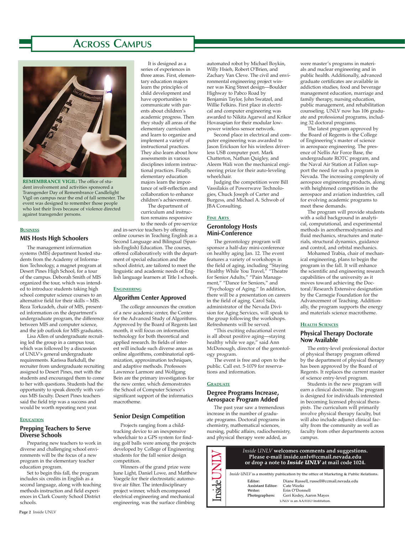# **ACROSS CAMPUS**



**REMEMBRANCE VIGIL:** The office of student involvement and activities sponsored a Transgender Day of Remembrance Candlelight Vigil on campus near the end of fall semester. The event was designed to remember those people who lost their lives because of violence directed against transgender persons.

#### **BUSINESS**

#### MIS Hosts High Schoolers

The management information systems (MIS) department hosted students from the Academy of Information Technology, a magnet program at Desert Pines High School, for a tour of the campus. Deborah Smith of MIS organized the tour, which was intended to introduce students taking high school computer science courses to an alternative field for their skills – MIS. Reza Torkzadeh, chair of MIS, presented information on the department's undergraduate program, the difference between MIS and computer science, and the job outlook for MIS graduates.

Lisa Allen of undergraduate recruiting led the group in a campus tour, which was followed by a discussion of UNLV's general undergraduate requirements. Karissa Barkdull, the recruiter from undergraduate recruiting assigned to Desert Pines, met with the students and encouraged them to come to her with questions. Students had the opportunity to speak directly with various MIS faculty. Desert Pines teachers said the field trip was a success and would be worth repeating next year.

#### **EDUCATION**

## Prepping Teachers to Serve Diverse Schools

Preparing new teachers to work in diverse and challenging school environments will be the focus of a new program in the elementary teacher education program.

Set to begin this fall, the program includes six credits in English as a second language, along with teaching methods instruction and field experiences in Clark County School District schools.

It is designed as a series of experiences in three areas. First, elementary education majors learn the principles of child development and have opportunities to communicate with parents about children's academic progress. Then they study all areas of the elementary curriculum and learn to organize and implement a variety of instructional practices. They also learn about how assessments in various disciplines inform instructional practices. Finally, elementary education majors learn the importance of self-reflection and collaboration to enhance children's achievement.

The department of curriculum and instruction remains responsive to the needs of pre-service

and in-service teachers by offering online courses in Teaching English as a Second Language and Bilingual (Spanish-English) Education. The courses, offered collaboratively with the department of special education and the school district, are tailored to meet the linguistic and academic needs of English language learners at Title I schools.

#### **ENGINEERING**

## Algorithm Center Approved

The college announces the creation of a new academic center, the Center for the Advanced Study of Algorithms. Approved by the Board of Regents last month, it will focus on information technology for both theoretical and applied research. Its fields of interest will include such diverse areas as online algorithms, combinatorial optimization, approximation techniques, and adaptive methods. Professors Lawrence Larmore and Wolfgang Bein are the primary investigators for the new center, which demonstrates the School of Computer Science's significant support of the informatics macrotheme.

#### Senior Design Competition

Projects ranging from a childtracking device to an inexpensive wheelchair to a GPS system for finding golf balls were among the projects developed by College of Engineering students for the fall senior design competition.

Winners of the grand prize were June Light, Daniel Lowe, and Matthew Voegele for their electrostatic automotive air filter. The interdisciplinary project winner, which encompassed electrical engineering and mechanical engineering, was the surface climbing

automated robot by Michael Boykin, Willy Hsieh, Robert O'Brien, and Zachary Van Cleve. The civil and environmental engineering project winner was King Street design—Boulder Highway to Pabco Road by Benjamin Taylor, John Swatzel, and Willie Felkins. First place in electrical and computer engineering was awarded to Nikita Agarwal and Krikor Hovasapian for their modular lowpower wireless sensor network.

Second place in electrical and computer engineering was awarded to Jason Erickson for his wireless driverless USB computer port. Mark Chatterton, Nathan Quigley, and Aleem Wali won the mechanical engineering prize for their auto-leveling wheelchair.

Judging the competition were Bill Vassilakis of Powerwave Technologies, Chuck Joseph of Carter and Burgess, and Michael A. Schwob of JBA Consulting.

#### **FINE ARTS**

## Gerontology Hosts Mini-Conference

The gerontology program will sponsor a half-day mini-conference on healthy aging Jan. 12. The event features a variety of workshops in the field of aging, including "Staying Healthy While You Travel," "Theatre for Senior Adults," "Pain Management," "Dance for Seniors," and "Psychology of Aging." In addition, there will be a presentation on careers in the field of aging. Carol Sala, administrator of the Nevada Division for Aging Services, will speak to the group following the workshops. Refreshments will be served.

"This exciting educational event is all about positive aging—staying healthy while we age," said Ann McDonough, director of the gerontology program.

The event is free and open to the public. Call ext. 5-1079 for reservations and information.

#### **GRADUATE**

## Degree Programs Increase, Aerospace Program Added

The past year saw a tremendous increase in the number of graduate programs. Doctoral programs in chemistry, mathematical sciences, nursing, public affairs, radiochemistry, and physical therapy were added, as

were master's programs in materials and nuclear engineering and in public health. Additionally, advanced graduate certificates are available in addiction studies, food and beverage management education, marriage and family therapy, nursing education, public management, and rehabilitation counseling. UNLV now has 106 graduate and professional programs, including 32 doctoral programs.

The latest program approved by the Board of Regents is the College of Engineering's master of science in aerospace engineering. The presence of Nellis Air Force Base, the undergraduate ROTC program, and the Naval Air Station at Fallon support the need for such a program in Nevada. The increasing complexity of aerospace engineering products, along with heightened competition in the aerospace and aviation industries, call for evolving academic programs to meet these demands.

The program will provide students with a solid background in analytical, computational, and experimental methods in aerothermodynamics and fluid mechanics, structures and materials, structural dynamics, guidance and control, and orbital mechanics.

Mohamed Trabia, chair of mechanical engineering, plans to begin the program in the fall. It will enhance the scientific and engineering research capabilities of the university as it moves toward achieving the Doctoral/Research Extensive designation by the Carnegie Foundation for the Advancement of Teaching. Additionally, the program supports the energy and materials science macrotheme.

#### **HEALTH SCIENCES**

## Physical Therapy Doctorate Now Available

The entry-level professional doctor of physical therapy program offered by the department of physical therapy has been approved by the Board of Regents. It replaces the current master of science entry-level program.

Students in the new program will earn a clinical doctorate. The program is designed for individuals interested in becoming licensed physical therapists. The curriculum will primarily involve physical therapy faculty, but will also include adjunct clinical faculty from the community as well as faculty from other departments across campus.



UNLV is an AA/EEO Institution.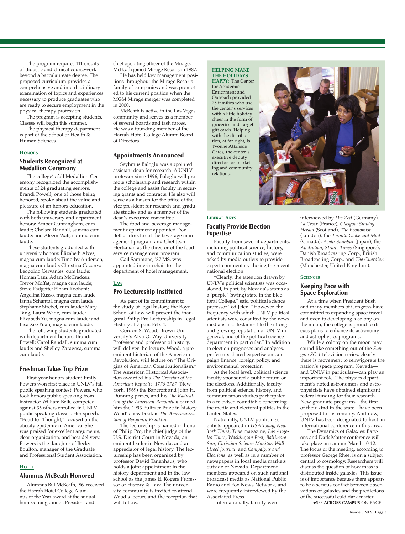The program requires 111 credits of didactic and clinical coursework beyond a baccalaureate degree. The proposed curriculum provides a comprehensive and interdisciplinary examination of topics and experiences necessary to produce graduates who are ready to secure employment in the physical therapy profession.

The program is accepting students. Classes will begin this summer.

The physical therapy department is part of the School of Health & Human Sciences.

#### **HONORS**

## Students Recognized at Medallion Ceremony

The college's fall Medallion Ceremony recognized the accomplishments of 24 graduating seniors. Brandi Powell, one of those being honored, spoke about the value and pleasure of an honors education.

The following students graduated with both university and department honors: Amber Cunningham, cum laude; Chelsea Randall, summa cum laude; and Aleem Wali, summa cum laude.

These students graduated with university honors: Elizabeth Alves, magna cum laude; Timothy Anderson, magna cum laude; Christina Cazares; Leopoldo Cervantes, cum laude; Homan Lam; Adam McCracken; Trevor Moffat, magna cum laude; Steve Padgette; Elham Roohani; Angelina Russo, magna cum laude; Janna Schantol, magna cum laude; Stephanie Strebel, cum laude; Mary Tang; Laura Wade, cum laude; Elizabeth Yu, magna cum laude; and Lisa Xee Yuan, magna cum laude.

The following students graduated with department honors: Brandi Powell; Carol Randall, summa cum laude; and Shelley Zaragosa, summa cum laude.

#### Freshman Takes Top Prize

First-year honors student Emily Powers won first place in UNLV's fall public speaking contest. Powers, who took honors public speaking from instructor William Belk, competed against 35 others enrolled in UNLV public speaking classes. Her speech, "Food for Thought," focused on the obesity epidemic in America. She was praised for excellent arguments, clear organization, and best delivery. Powers is the daughter of Becky Boulton, manager of the Graduate and Professional Student Association.

#### **HOTEL**

#### Alumnus McBeath Honored

Alumnus Bill McBeath, '86, received the Harrah Hotel College Alumnus of the Year award at the annual homecoming dinner. President and

chief operating officer of the Mirage,

McBeath joined Mirage Resorts in 1987. He has held key management positions throughout the Mirage Resorts family of companies and was promoted to his current position when the MGM Mirage merger was completed in 2000.

McBeath is active in the Las Vegas community and serves as a member of several boards and task forces. He was a founding member of the Harrah Hotel College Alumni Board of Directors.

#### Appointments Announced

Seyhmus Baloglu was appointed assistant dean for research. A UNLV professor since 1996, Baloglu will promote scholarship and research within the college and assist faculty in securing grants and contracts. He also will serve as a liaison for the office of the vice president for research and graduate studies and as a member of the dean's executive committee.

The food and beverage management department appointed Don Bell as director of the beverage management program and Chef Jean Hertzman as the director of the foodservice management program.

Gail Sammons, '87 MS, was appointed interim chair for the department of hotel management.

#### **LAW**

#### Pro Lectureship Instituted

As part of its commitment to the study of legal history, the Boyd School of Law will present the inaugural Philip Pro Lectureship in Legal History at 7 p.m. Feb. 4.

Gordon S. Wood, Brown University's Alva O. Way University Professor and professor of history, will deliver the lecture. Wood, a preeminent historian of the American Revolution, will lecture on "The Origins of American Constitutionalism." The American Historical Association awarded his *The Creation of the American Republic, 1776-1787* (New York, 1969) the Bancroft and John H. Dunning prizes, and his *The Radicalism of the American Revolution* earned him the 1993 Pulitzer Prize in history. Wood's new book is *The Americanization of Benjamin Franklin.* 

The lectureship is named in honor of Philip Pro, the chief judge of the U.S. District Court in Nevada, an eminent leader in Nevada, and an appreciator of legal history. The lectureship has been organized by professor David Tanenhaus, who holds a joint appointment in the history department and in the law school as the James E. Rogers Professor of History & Law. The university community is invited to attend Wood's lecture and the reception that will follow.

**HELPING MAKE THE HOLIDAYS HAPPY:** The Center for Academic Enrichment and Outreach provided 75 families who use the center's services with a little holiday cheer in the form of groceries and Target gift cards. Helping with the distribution, at far right, is Yvonne Atkinson Gates, the center's executive deputy director for marketing and community relations.

## **LIBERAL ARTS** Faculty Provide Election Expertise

Faculty from several departments, including political science, history, and communication studies, were asked by media outlets to provide expert commentary during the recent national election.

"Clearly, the attention drawn by UNLV's political scientists was occasioned, in part, by Nevada's status as a 'purple' (swing) state in the Electoral College," said political science professor Ted Jelen. "However, the frequency with which UNLV political scientists were consulted by the news media is also testament to the strong and growing reputation of UNLV in general, and of the political science department in particular." In addition to election prognoses and analyses, professors shared expertise on campaign finance, foreign policy, and environmental protection.

At the local level, political science faculty sponsored a public forum on the elections. Additionally, faculty from political science, history, and communication studies participated in a televised roundtable concerning the media and electoral politics in the United States.

Nationally, UNLV political scientists appeared in *USA Today, New York Times, Time* magazine, *Los Angeles Times*, *Washington Post*, *Baltimore Sun*, *Christian Science Monitor, Wall Street Journal,* and *Campaigns and Elections,* as well as in a number of newspapers in local media markets outside of Nevada. Department members appeared on such national broadcast media as National Public Radio and Fox News Network, and were frequently interviewed by the Associated Press.

Internationally, faculty were



interviewed by *Die Zeit* (Germany), *La Croix* (France), *Glasgow Sunday Herald* (Scotland), *The Economist*  (London), the *Toronto Globe and Mail* (Canada), *Asahi Shimbur* (Japan), the *Australian*, *Straits Times* (Singapore), Danish Broadcasting Corp., British Broadcasting Corp., and *The Guardian* (Manchester, United Kingdom).

#### **SCIENCES**

## Keeping Pace with Space Exploration

At a time when President Bush and many members of Congress have committed to expanding space travel and even to developing a colony on the moon, the college is proud to discuss plans to enhance its astronomy and astrophysics programs.

While a colony on the moon may sound like something out of the *Stargate SG-1* television series, clearly there is movement to reinvigorate the nation's space program. Nevada and UNLV in particular—can play an important role. The physics department's noted astronomers and astrophysicists have obtained significant federal funding for their research. New graduate programs—the first of their kind in the state—have been proposed for astronomy. And now, UNLV has been designated to host an international conference in this area.

The Dynamics of Galaxies: Baryons and Dark Matter conference will take place on campus March 10-12. The focus of the meeting, according to professor George Rhee, is on a subject central to cosmology. Researchers will discuss the question of how mass is distributed inside galaxies. This issue is of importance because there appears to be a serious conflict between observations of galaxies and the predictions of the successful cold dark matter

**. SEE ACROSS CAMPUS** ON PAGE 4